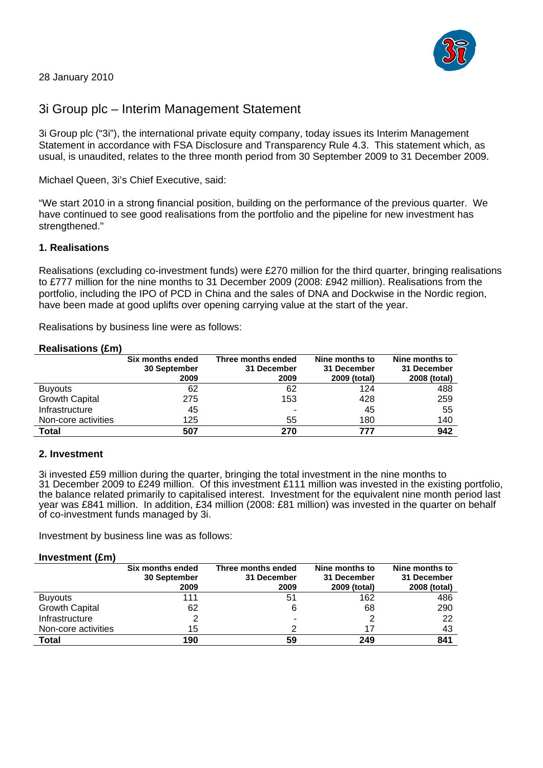

## 28 January 2010

# 3i Group plc – Interim Management Statement

3i Group plc ("3i"), the international private equity company, today issues its Interim Management Statement in accordance with FSA Disclosure and Transparency Rule 4.3. This statement which, as usual, is unaudited, relates to the three month period from 30 September 2009 to 31 December 2009.

Michael Queen, 3i's Chief Executive, said:

"We start 2010 in a strong financial position, building on the performance of the previous quarter. We have continued to see good realisations from the portfolio and the pipeline for new investment has strengthened."

## **1. Realisations**

Realisations (excluding co-investment funds) were £270 million for the third quarter, bringing realisations to £777 million for the nine months to 31 December 2009 (2008: £942 million). Realisations from the portfolio, including the IPO of PCD in China and the sales of DNA and Dockwise in the Nordic region, have been made at good uplifts over opening carrying value at the start of the year.

Realisations by business line were as follows:

#### **Realisations (£m)**

|                       | Six months ended<br>30 September<br>2009 | Three months ended<br>31 December<br>2009 | Nine months to<br>31 December<br>2009 (total) | Nine months to<br>31 December<br>2008 (total) |
|-----------------------|------------------------------------------|-------------------------------------------|-----------------------------------------------|-----------------------------------------------|
| <b>Buyouts</b>        | 62                                       | 62                                        | 124                                           | 488                                           |
| <b>Growth Capital</b> | 275                                      | 153                                       | 428                                           | 259                                           |
| Infrastructure        | 45                                       | -                                         | 45                                            | 55                                            |
| Non-core activities   | 125                                      | 55                                        | 180                                           | 140                                           |
| Total                 | 507                                      | 270                                       | 777                                           | 942                                           |

### **2. Investment**

3i invested £59 million during the quarter, bringing the total investment in the nine months to 31 December 2009 to £249 million. Of this investment £111 million was invested in the existing portfolio, the balance related primarily to capitalised interest. Investment for the equivalent nine month period last year was £841 million. In addition, £34 million (2008: £81 million) was invested in the quarter on behalf of co-investment funds managed by 3i.

Investment by business line was as follows:

#### **Investment (£m)**

|                       | Six months ended<br>30 September<br>2009 | Three months ended<br>31 December<br>2009 | Nine months to<br>31 December<br>2009 (total) | Nine months to<br>31 December<br>2008 (total) |
|-----------------------|------------------------------------------|-------------------------------------------|-----------------------------------------------|-----------------------------------------------|
| <b>Buyouts</b>        | 111                                      | 51                                        | 162                                           | 486                                           |
| <b>Growth Capital</b> | 62                                       | 6                                         | 68                                            | 290                                           |
| Infrastructure        |                                          | -                                         |                                               | 22                                            |
| Non-core activities   | 15                                       | ⌒                                         |                                               | 43                                            |
| Total                 | 190                                      | 59                                        | 249                                           | 841                                           |